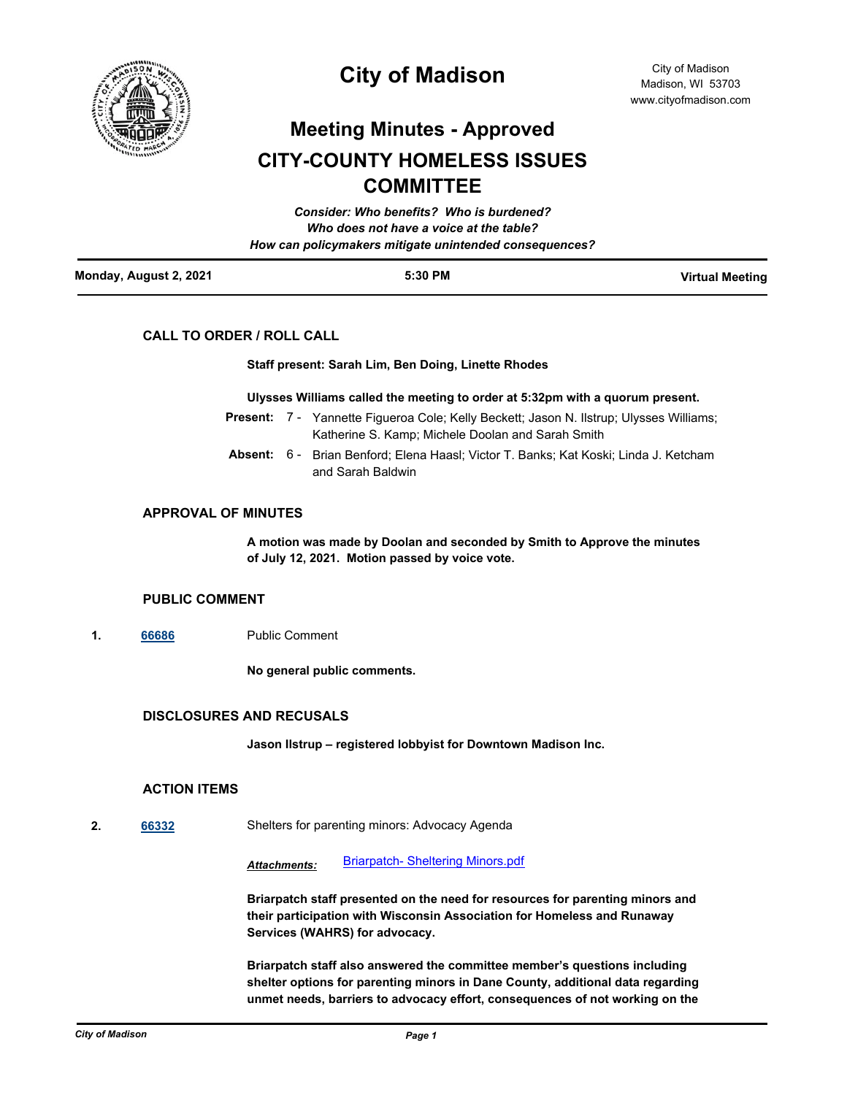

## **City of Madison**

# **Meeting Minutes - Approved CITY-COUNTY HOMELESS ISSUES COMMITTEE**

| Monday, August 2, 2021 | 5:30 PM                                                | <b>Virtual Meeting</b> |
|------------------------|--------------------------------------------------------|------------------------|
|                        | How can policymakers mitigate unintended consequences? |                        |
|                        | Who does not have a voice at the table?                |                        |
|                        | Consider: Who benefits? Who is burdened?               |                        |

## **CALL TO ORDER / ROLL CALL**

#### **Staff present: Sarah Lim, Ben Doing, Linette Rhodes**

#### **Ulysses Williams called the meeting to order at 5:32pm with a quorum present.**

|  | <b>Present:</b> 7 - Yannette Figueroa Cole; Kelly Beckett; Jason N. Ilstrup; Ulysses Williams; |
|--|------------------------------------------------------------------------------------------------|
|  | Katherine S. Kamp; Michele Doolan and Sarah Smith                                              |

Absent: 6 - Brian Benford; Elena Haasl; Victor T. Banks; Kat Koski; Linda J. Ketcham and Sarah Baldwin

### **APPROVAL OF MINUTES**

**A motion was made by Doolan and seconded by Smith to Approve the minutes of July 12, 2021. Motion passed by voice vote.**

### **PUBLIC COMMENT**

**1. [66686](http://madison.legistar.com/gateway.aspx?m=l&id=/matter.aspx?key=78762)** Public Comment

**No general public comments.**

#### **DISCLOSURES AND RECUSALS**

**Jason Ilstrup – registered lobbyist for Downtown Madison Inc.**

### **ACTION ITEMS**

**2. [66332](http://madison.legistar.com/gateway.aspx?m=l&id=/matter.aspx?key=78470)** Shelters for parenting minors: Advocacy Agenda

*Attachments:* [Briarpatch- Sheltering Minors.pdf](http://madison.legistar.com/gateway.aspx?M=F&ID=42398576-31f2-4318-9d19-c695a4828d53.pdf)

**Briarpatch staff presented on the need for resources for parenting minors and their participation with Wisconsin Association for Homeless and Runaway Services (WAHRS) for advocacy.** 

**Briarpatch staff also answered the committee member's questions including shelter options for parenting minors in Dane County, additional data regarding unmet needs, barriers to advocacy effort, consequences of not working on the**